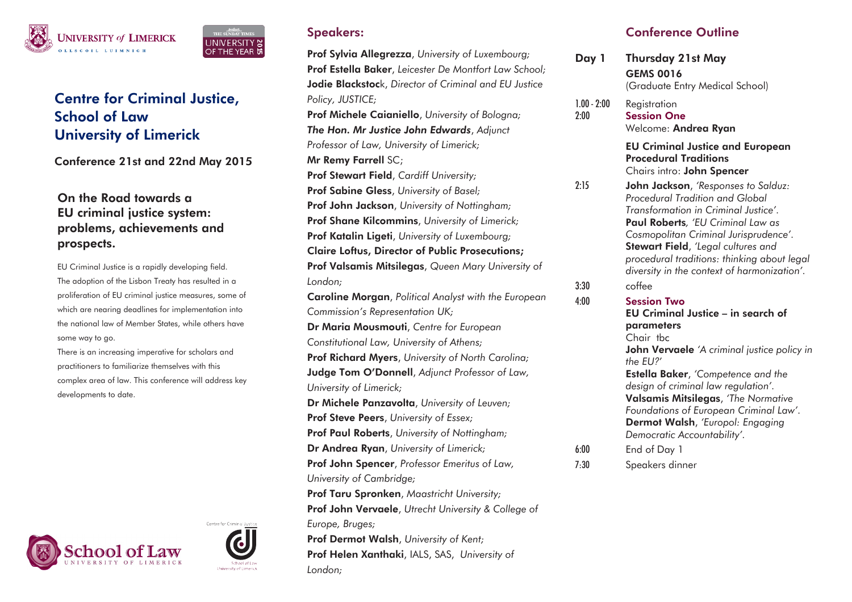

# Centre for Criminal Justice, School of Law University of Limerick

Conference 21st and 22nd May 2015

## On the Road towards a EU criminal justice system: problems, achievements and prospects.

EU Criminal Justice is a rapidly developing field. The adoption of the Lisbon Treaty has resulted in a proliferation of EU criminal justice measures, some of which are nearing deadlines for implementation into the national law of Member States, while others have some way to go.

There is an increasing imperative for scholars and practitioners to familiarize themselves with this complex area of law. This conference will address key developments to date.





NIVERSITY 영 THE YEAR L

Prof Sylvia Allegrezza, *University of Luxembourg;*  Prof Estella Baker, *Leicester De Montfort Law School;* Jodie Blackstock, *Director of Criminal and EU Justice Policy, JUSTICE;* Prof Michele Caianiello, *University of Bologna; The Hon. Mr Justice John Edwards*, *Adjunct Professor of Law, University of Limerick;*  Mr Remy Farrell SC; Prof Stewart Field, *Cardiff University;*  Prof Sabine Gless, *University of Basel;*  Prof John Jackson, *University of Nottingham;* Prof Shane Kilcommins, *University of Limerick;* Prof Katalin Ligeti, *University of Luxembourg;*  Claire Loftus, Director of Public Prosecutions; Prof Valsamis Mitsilegas, *Queen Mary University of London;*  Caroline Morgan, *Political Analyst with the European Commission's Representation UK;*  Dr Maria Mousmouti, *Centre for European Constitutional Law, University of Athens;* Prof Richard Myers, *University of North Carolina;* Judge Tom O'Donnell, *Adjunct Professor of Law, University of Limerick;*  Dr Michele Panzavolta, *University of Leuven;* Prof Steve Peers, *University of Essex;*  Prof Paul Roberts, *University of Nottingham;*  Dr Andrea Ryan, *University of Limerick;* Prof John Spencer, *Professor Emeritus of Law, University of Cambridge;*  Prof Taru Spronken, *Maastricht University;*  Prof John Vervaele, *Utrecht University & College of Europe, Bruges;*  Prof Dermot Walsh, *University of Kent;* 

Prof Helen Xanthaki, IALS, SAS, *University of London;*

# Conference Outline

| Day 1                 | <b>Thursday 21st May</b><br><b>GEMS 0016</b><br>(Graduate Entry Medical School)                                                                                                                                                                                                                                                                          |
|-----------------------|----------------------------------------------------------------------------------------------------------------------------------------------------------------------------------------------------------------------------------------------------------------------------------------------------------------------------------------------------------|
| $1.00 - 2:00$<br>2:00 | Registration<br><b>Session One</b><br>Welcome: Andrea Ryan                                                                                                                                                                                                                                                                                               |
|                       | <b>EU Criminal Justice and European</b><br><b>Procedural Traditions</b><br>Chairs intro: John Spencer                                                                                                                                                                                                                                                    |
| 2:15                  | John Jackson, 'Responses to Salduz:<br>Procedural Tradition and Global<br>Transformation in Criminal Justice'.<br>Paul Roberts, 'EU Criminal Law as<br>Cosmopolitan Criminal Jurisprudence'.<br>Stewart Field, 'Legal cultures and<br>procedural traditions: thinking about legal<br>diversity in the context of harmonization'.                         |
| 3:30                  | coffee                                                                                                                                                                                                                                                                                                                                                   |
| 4:00                  | <b>Session Two</b><br>EU Criminal Justice - in search of<br>parameters<br>Chair tbc<br>John Vervaele 'A criminal justice policy in<br>the EU?'<br><b>Estella Baker</b> , 'Competence and the<br>design of criminal law regulation'.<br>Valsamis Mitsilegas, 'The Normative<br>Foundations of European Criminal Law'.<br>Dermot Walsh, 'Europol: Engaging |
| 6:00<br>7:30          | Democratic Accountability'.<br>End of Day 1<br>Speakers dinner                                                                                                                                                                                                                                                                                           |